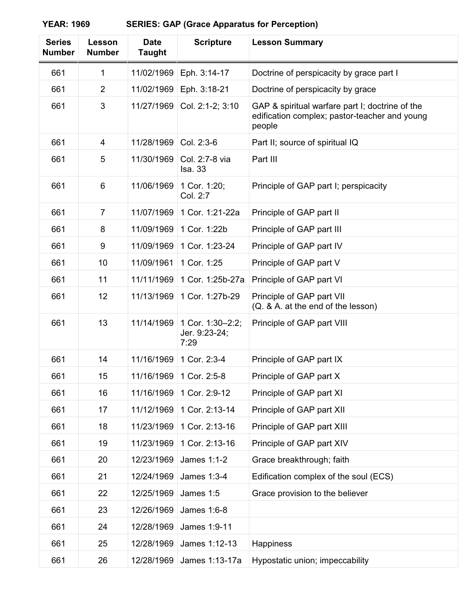| <b>Series</b><br><b>Number</b> | Lesson<br><b>Number</b> | <b>Date</b><br><b>Taught</b> | <b>Scripture</b>                          | <b>Lesson Summary</b>                                                                                      |
|--------------------------------|-------------------------|------------------------------|-------------------------------------------|------------------------------------------------------------------------------------------------------------|
| 661                            | 1                       | 11/02/1969                   | Eph. 3:14-17                              | Doctrine of perspicacity by grace part I                                                                   |
| 661                            | $\overline{2}$          | 11/02/1969                   | Eph. 3:18-21                              | Doctrine of perspicacity by grace                                                                          |
| 661                            | 3                       | 11/27/1969                   | Col. 2:1-2; 3:10                          | GAP & spiritual warfare part I; doctrine of the<br>edification complex; pastor-teacher and young<br>people |
| 661                            | 4                       | 11/28/1969                   | Col. 2:3-6                                | Part II; source of spiritual IQ                                                                            |
| 661                            | 5                       | 11/30/1969                   | Col. 2:7-8 via<br><b>Isa. 33</b>          | Part III                                                                                                   |
| 661                            | 6                       | 11/06/1969                   | 1 Cor. 1:20;<br>Col. 2:7                  | Principle of GAP part I; perspicacity                                                                      |
| 661                            | $\overline{7}$          | 11/07/1969                   | 1 Cor. 1:21-22a                           | Principle of GAP part II                                                                                   |
| 661                            | 8                       | 11/09/1969                   | 1 Cor. 1:22b                              | Principle of GAP part III                                                                                  |
| 661                            | 9                       | 11/09/1969                   | 1 Cor. 1:23-24                            | Principle of GAP part IV                                                                                   |
| 661                            | 10                      | 11/09/1961                   | 1 Cor. 1:25                               | Principle of GAP part V                                                                                    |
| 661                            | 11                      | 11/11/1969                   | 1 Cor. 1:25b-27a                          | Principle of GAP part VI                                                                                   |
| 661                            | 12                      | 11/13/1969                   | 1 Cor. 1:27b-29                           | Principle of GAP part VII<br>(Q. & A. at the end of the lesson)                                            |
| 661                            | 13                      | 11/14/1969                   | 1 Cor. 1:30-2:2;<br>Jer. 9:23-24;<br>7:29 | Principle of GAP part VIII                                                                                 |
| 661                            | 14                      | 11/16/1969                   | 1 Cor. 2:3-4                              | Principle of GAP part IX                                                                                   |
| 661                            | 15                      | 11/16/1969                   | 1 Cor. 2:5-8                              | Principle of GAP part X                                                                                    |
| 661                            | 16                      | 11/16/1969                   | 1 Cor. 2:9-12                             | Principle of GAP part XI                                                                                   |
| 661                            | 17                      | 11/12/1969                   | 1 Cor. 2:13-14                            | Principle of GAP part XII                                                                                  |
| 661                            | 18                      | 11/23/1969                   | 1 Cor. 2:13-16                            | Principle of GAP part XIII                                                                                 |
| 661                            | 19                      | 11/23/1969                   | 1 Cor. 2:13-16                            | Principle of GAP part XIV                                                                                  |
| 661                            | 20                      | 12/23/1969                   | James 1:1-2                               | Grace breakthrough; faith                                                                                  |
| 661                            | 21                      | 12/24/1969                   | James 1:3-4                               | Edification complex of the soul (ECS)                                                                      |
| 661                            | 22                      | 12/25/1969                   | James 1:5                                 | Grace provision to the believer                                                                            |
| 661                            | 23                      | 12/26/1969                   | James 1:6-8                               |                                                                                                            |
| 661                            | 24                      | 12/28/1969                   | James 1:9-11                              |                                                                                                            |
| 661                            | 25                      | 12/28/1969                   | James 1:12-13                             | Happiness                                                                                                  |
| 661                            | 26                      | 12/28/1969                   | James 1:13-17a                            | Hypostatic union; impeccability                                                                            |